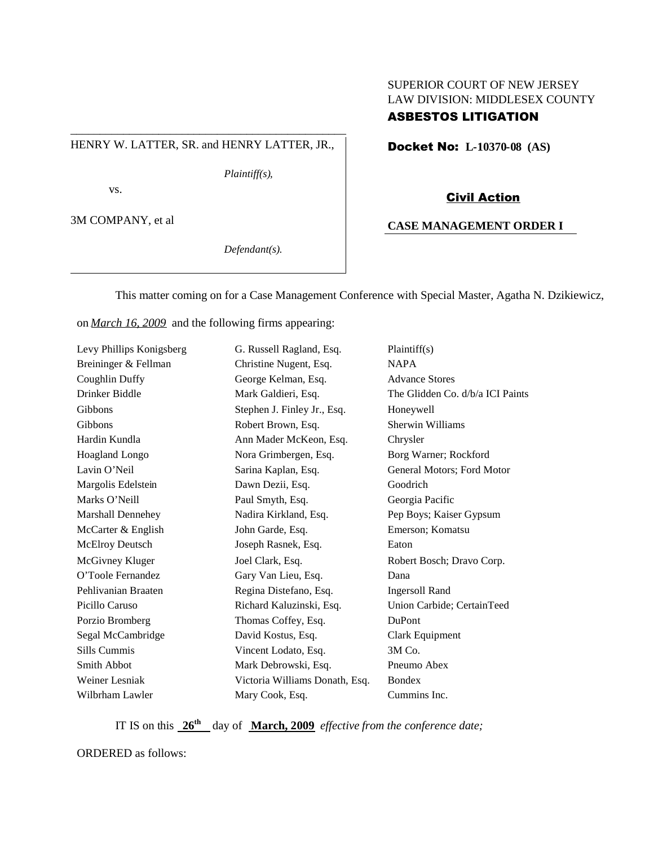# SUPERIOR COURT OF NEW JERSEY LAW DIVISION: MIDDLESEX COUNTY

### HENRY W. LATTER, SR. and HENRY LATTER, JR.,

\_\_\_\_\_\_\_\_\_\_\_\_\_\_\_\_\_\_\_\_\_\_\_\_\_\_\_\_\_\_\_\_\_\_\_\_\_\_\_\_\_\_\_\_\_\_\_

*Plaintiff(s),*

vs.

3M COMPANY, et al

*Defendant(s).*

## ASBESTOS LITIGATION

Docket No: **L-10370-08 (AS)**

### Civil Action

## **CASE MANAGEMENT ORDER I**

This matter coming on for a Case Management Conference with Special Master, Agatha N. Dzikiewicz,

on *March 16, 2009* and the following firms appearing:

| Levy Phillips Konigsberg | G. Russell Ragland, Esq.       | Plaintiff(s)                     |
|--------------------------|--------------------------------|----------------------------------|
| Breininger & Fellman     | Christine Nugent, Esq.         | <b>NAPA</b>                      |
| Coughlin Duffy           | George Kelman, Esq.            | <b>Advance Stores</b>            |
| Drinker Biddle           | Mark Galdieri, Esq.            | The Glidden Co. d/b/a ICI Paints |
| Gibbons                  | Stephen J. Finley Jr., Esq.    | Honeywell                        |
| Gibbons                  | Robert Brown, Esq.             | Sherwin Williams                 |
| Hardin Kundla            | Ann Mader McKeon, Esq.         | Chrysler                         |
| Hoagland Longo           | Nora Grimbergen, Esq.          | Borg Warner; Rockford            |
| Lavin O'Neil             | Sarina Kaplan, Esq.            | General Motors; Ford Motor       |
| Margolis Edelstein       | Dawn Dezii, Esq.               | Goodrich                         |
| Marks O'Neill            | Paul Smyth, Esq.               | Georgia Pacific                  |
| Marshall Dennehey        | Nadira Kirkland, Esq.          | Pep Boys; Kaiser Gypsum          |
| McCarter & English       | John Garde, Esq.               | Emerson; Komatsu                 |
| McElroy Deutsch          | Joseph Rasnek, Esq.            | Eaton                            |
| McGivney Kluger          | Joel Clark, Esq.               | Robert Bosch; Dravo Corp.        |
| O'Toole Fernandez        | Gary Van Lieu, Esq.            | Dana                             |
| Pehlivanian Braaten      | Regina Distefano, Esq.         | <b>Ingersoll Rand</b>            |
| Picillo Caruso           | Richard Kaluzinski, Esq.       | Union Carbide; CertainTeed       |
| Porzio Bromberg          | Thomas Coffey, Esq.            | DuPont                           |
| Segal McCambridge        | David Kostus, Esq.             | Clark Equipment                  |
| Sills Cummis             | Vincent Lodato, Esq.           | 3M Co.                           |
| <b>Smith Abbot</b>       | Mark Debrowski, Esq.           | Pneumo Abex                      |
| Weiner Lesniak           | Victoria Williams Donath, Esq. | <b>Bondex</b>                    |
| Wilbrham Lawler          | Mary Cook, Esq.                | Cummins Inc.                     |

IT IS on this **26th** day of **March, 2009** *effective from the conference date;*

ORDERED as follows: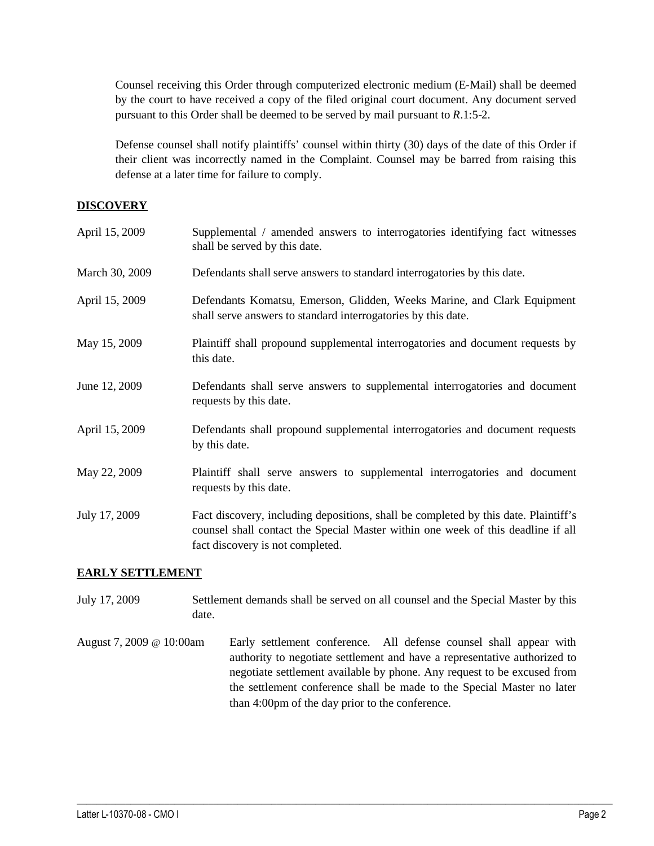Counsel receiving this Order through computerized electronic medium (E-Mail) shall be deemed by the court to have received a copy of the filed original court document. Any document served pursuant to this Order shall be deemed to be served by mail pursuant to *R*.1:5-2.

Defense counsel shall notify plaintiffs' counsel within thirty (30) days of the date of this Order if their client was incorrectly named in the Complaint. Counsel may be barred from raising this defense at a later time for failure to comply.

## **DISCOVERY**

| April 15, 2009 | Supplemental / amended answers to interrogatories identifying fact witnesses<br>shall be served by this date.                                                                                               |
|----------------|-------------------------------------------------------------------------------------------------------------------------------------------------------------------------------------------------------------|
| March 30, 2009 | Defendants shall serve answers to standard interrogatories by this date.                                                                                                                                    |
| April 15, 2009 | Defendants Komatsu, Emerson, Glidden, Weeks Marine, and Clark Equipment<br>shall serve answers to standard interrogatories by this date.                                                                    |
| May 15, 2009   | Plaintiff shall propound supplemental interrogatories and document requests by<br>this date.                                                                                                                |
| June 12, 2009  | Defendants shall serve answers to supplemental interrogatories and document<br>requests by this date.                                                                                                       |
| April 15, 2009 | Defendants shall propound supplemental interrogatories and document requests<br>by this date.                                                                                                               |
| May 22, 2009   | Plaintiff shall serve answers to supplemental interrogatories and document<br>requests by this date.                                                                                                        |
| July 17, 2009  | Fact discovery, including depositions, shall be completed by this date. Plaintiff's<br>counsel shall contact the Special Master within one week of this deadline if all<br>fact discovery is not completed. |

## **EARLY SETTLEMENT**

- July 17, 2009 Settlement demands shall be served on all counsel and the Special Master by this date.
- August 7, 2009 @ 10:00am Early settlement conference. All defense counsel shall appear with authority to negotiate settlement and have a representative authorized to negotiate settlement available by phone. Any request to be excused from the settlement conference shall be made to the Special Master no later than 4:00pm of the day prior to the conference.

 $\_$  ,  $\_$  ,  $\_$  ,  $\_$  ,  $\_$  ,  $\_$  ,  $\_$  ,  $\_$  ,  $\_$  ,  $\_$  ,  $\_$  ,  $\_$  ,  $\_$  ,  $\_$  ,  $\_$  ,  $\_$  ,  $\_$  ,  $\_$  ,  $\_$  ,  $\_$  ,  $\_$  ,  $\_$  ,  $\_$  ,  $\_$  ,  $\_$  ,  $\_$  ,  $\_$  ,  $\_$  ,  $\_$  ,  $\_$  ,  $\_$  ,  $\_$  ,  $\_$  ,  $\_$  ,  $\_$  ,  $\_$  ,  $\_$  ,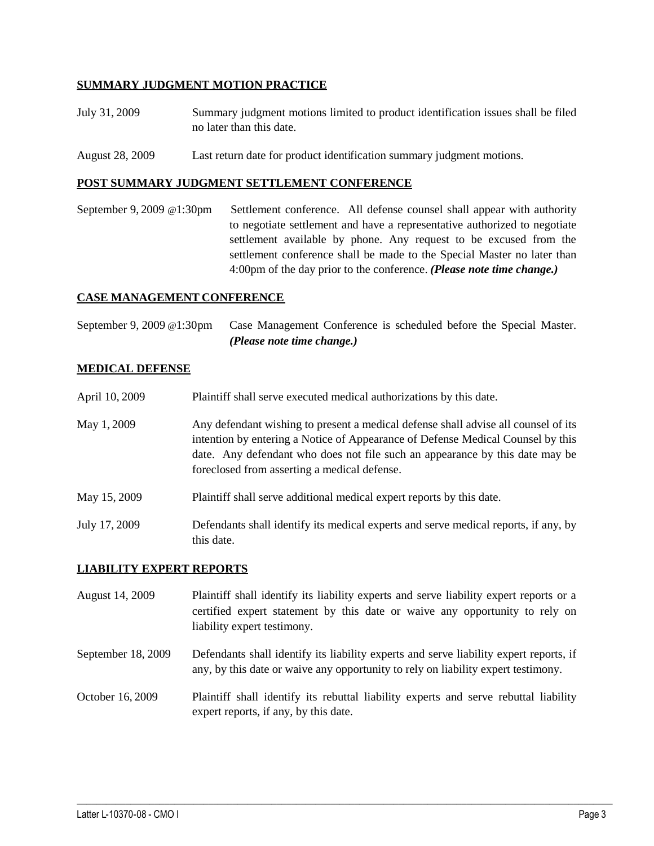## **SUMMARY JUDGMENT MOTION PRACTICE**

- July 31, 2009 Summary judgment motions limited to product identification issues shall be filed no later than this date.
- August 28, 2009 Last return date for product identification summary judgment motions.

#### **POST SUMMARY JUDGMENT SETTLEMENT CONFERENCE**

September 9, 2009 @1:30pm Settlement conference. All defense counsel shall appear with authority to negotiate settlement and have a representative authorized to negotiate settlement available by phone. Any request to be excused from the settlement conference shall be made to the Special Master no later than 4:00pm of the day prior to the conference. *(Please note time change.)*

### **CASE MANAGEMENT CONFERENCE**

September 9, 2009 @1:30pm Case Management Conference is scheduled before the Special Master. *(Please note time change.)*

### **MEDICAL DEFENSE**

- April 10, 2009 Plaintiff shall serve executed medical authorizations by this date.
- May 1, 2009 Any defendant wishing to present a medical defense shall advise all counsel of its intention by entering a Notice of Appearance of Defense Medical Counsel by this date. Any defendant who does not file such an appearance by this date may be foreclosed from asserting a medical defense.
- May 15, 2009 Plaintiff shall serve additional medical expert reports by this date.
- July 17, 2009 Defendants shall identify its medical experts and serve medical reports, if any, by this date.

### **LIABILITY EXPERT REPORTS**

- August 14, 2009 Plaintiff shall identify its liability experts and serve liability expert reports or a certified expert statement by this date or waive any opportunity to rely on liability expert testimony.
- September 18, 2009 Defendants shall identify its liability experts and serve liability expert reports, if any, by this date or waive any opportunity to rely on liability expert testimony.
- October 16, 2009 Plaintiff shall identify its rebuttal liability experts and serve rebuttal liability expert reports, if any, by this date.

 $\_$  ,  $\_$  ,  $\_$  ,  $\_$  ,  $\_$  ,  $\_$  ,  $\_$  ,  $\_$  ,  $\_$  ,  $\_$  ,  $\_$  ,  $\_$  ,  $\_$  ,  $\_$  ,  $\_$  ,  $\_$  ,  $\_$  ,  $\_$  ,  $\_$  ,  $\_$  ,  $\_$  ,  $\_$  ,  $\_$  ,  $\_$  ,  $\_$  ,  $\_$  ,  $\_$  ,  $\_$  ,  $\_$  ,  $\_$  ,  $\_$  ,  $\_$  ,  $\_$  ,  $\_$  ,  $\_$  ,  $\_$  ,  $\_$  ,